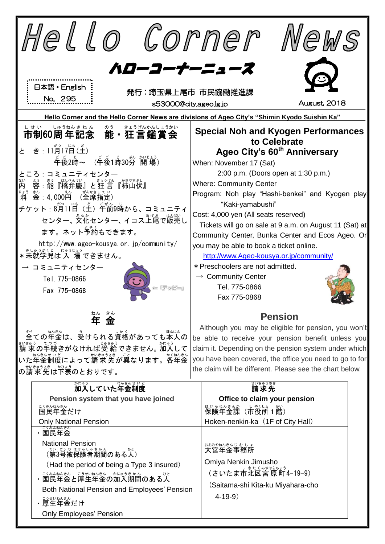| Hello Corner                                                                                                                                                                     | WeWS                                                                                                                                                                                                                                                                                      |  |
|----------------------------------------------------------------------------------------------------------------------------------------------------------------------------------|-------------------------------------------------------------------------------------------------------------------------------------------------------------------------------------------------------------------------------------------------------------------------------------------|--|
| ハローコーナーニュース<br>日本語 • English<br>発行:埼玉県上尾市 市民協働推進課<br>No. 295<br>August, 2018<br>s53000@city.ageo.lg.jp                                                                           |                                                                                                                                                                                                                                                                                           |  |
| Hello Corner and the Hello Corner News are divisions of Ageo City's "Shimin Kyodo Suishin Ka"                                                                                    |                                                                                                                                                                                                                                                                                           |  |
| しゅうねんきねん<br>しせい<br>きょうげんかんしょうかい<br>のう<br>市制60周年記念 能・狂言鑑賞会                                                                                                                        | <b>Special Noh and Kyogen Performances</b><br>to Celebrate                                                                                                                                                                                                                                |  |
| き:11月17日(土)<br>と<br>〔车後1時30分 開 場〕<br>午後2時~                                                                                                                                       | Ageo City's 60 <sup>th</sup> Anniversary<br>When: November 17 (Sat)                                                                                                                                                                                                                       |  |
| ころ:コミュニティセンター<br>釜:4, 000 <mark>种</mark><br>(全席指定                                                                                                                                | 2:00 p.m. (Doors open at 1:30 p.m.)<br><b>Where: Community Center</b><br>Program: Noh play "Hashi-benkei" and Kyogen play<br>"Kaki-yamabushi"                                                                                                                                             |  |
| <sub>チケット:8</sub> 渹11旨(主)年齢9時から、コミュニティ<br>センター、ジル<br>センター、文化センター、イコス上尾で販売し<br>ます。ネット予約もできます。                                                                                     | Cost: 4,000 yen (All seats reserved)<br>Tickets will go on sale at 9 a.m. on August 11 (Sat) at<br>Community Center, Bunka Center and Ecos Ageo. Or                                                                                                                                       |  |
| <u>http://www.ageo-kousya.or.jp/community/</u><br>* 未就学児は入 場できません。<br>コミュニティセンター<br>Tel. 775-0866                                                                                | you may be able to book a ticket online.<br>http://www.Ageo-kousya.or.jp/community/<br>* Preschoolers are not admitted.<br>$\rightarrow$ Community Center<br>Tel. 775-0866                                                                                                                |  |
| 「アッピー」<br>Fax 775-0868<br>ねん きん                                                                                                                                                  | Fax 775-0868                                                                                                                                                                                                                                                                              |  |
| 金<br>年                                                                                                                                                                           | <b>Pension</b>                                                                                                                                                                                                                                                                            |  |
| 、<br>全ての年金は、受けられる資格があっても本人の<br>"いきゅぅ てっっっ<br>請 求の手続きがなければ受 給できません。 加入して<br>した年金制度によって請求先が異なります。答年金<br>∥の請求免告〔☆ひょう<br>∥の請求先は下表のとおりです。                                             | Although you may be eligible for pension, you won't<br>be able to receive your pension benefit unless you<br>claim it. Depending on the pension system under which<br>you have been covered, the office you need to go to for<br>the claim will be different. Please see the chart below. |  |
| かにゅう<br>加入していた年金制度                                                                                                                                                               | ₩₩捷                                                                                                                                                                                                                                                                                       |  |
| Pension system that you have joined                                                                                                                                              | Office to claim your pension                                                                                                                                                                                                                                                              |  |
| こくみんねんきん<br>国民年金だけ                                                                                                                                                               | <del>はけんねんきんか、しゃくしょうかい</del><br>保険年金課(市役所1階)                                                                                                                                                                                                                                              |  |
| <b>Only National Pension</b>                                                                                                                                                     | Hoken-nenkin-ka (1F of City Hall)                                                                                                                                                                                                                                                         |  |
| ・国民年金<br><b>National Pension</b><br><sub>だいこうひほけんしゃきかん</sub><br>(第3号被保険者期間のある人)                                                                                                  | おおみやねんきんじ むしょ<br>大宮年金事務所                                                                                                                                                                                                                                                                  |  |
| (Had the period of being a Type 3 insured)<br>・ミミネムキムセミ。、 <u>ミラ</u> セミルムセム、カニゅラきゕん<br>・国民年金と厚生年金の加入期間のある人<br>Both National Pension and Employees' Pension<br>こうせいねんきん<br>・厚生年金だけ | Omiya Nenkin Jimusho<br>、<br>(さいたま市北区宮 原 町4-19-9)<br>(Saitama-shi Kita-ku Miyahara-cho<br>$4 - 19 - 9$                                                                                                                                                                                    |  |
| <b>Only Employees' Pension</b>                                                                                                                                                   |                                                                                                                                                                                                                                                                                           |  |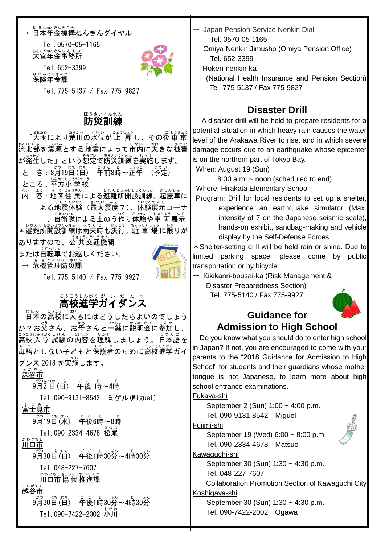#### → 日本年金機構ねんきんダイヤル

Tel.0570-05-1165 ぉぉぁゃぉんきんじ もしょ<br>**大宮年金事務所** 



Tel.652-3399 嗎けんねんきんか<br>**保険年金課** 

Tel.775-5137 / Fax 775-9827

## <sub>ぼうさいくんれん</sub>

「栄繭により荒川の水位が上 昇 し、その後東京 \*¼‼くぶ 以〔☆ 。。」。<br>湾北部を震源とする地震によって市内に大きな被害 が発生した」という想定で防災訓練を実施します。 と き: 8月19日(日) 车前8時~芷午 (予定) ところ : 平方小学校 内 ない ≴う。もくじゅうもんしょ ひなんじょかいせつくんれん。ましんしゃ<br>容:地区住 民 による避難所開設訓練、起震車に よる地震体験(最大震度7)、体験展示コーナ ー、自衛隊による土のう作り体験や軍 両展示 \*避難所開設訓練は雨天時も決行。駐 車 場に限りが ありますので、公 共交通機関 または自転車でお越しください。 → 危機管理防災課



Tel.775-5140 / Fax 775-9927

# <u>こうこうしんがく が、い だ</u> ん す<br>**高校進学ガイダンス**

日本 にほん の高校 こうこう に入 はい るにはどうしたらよいのでしょう か?お父さん、お母さんと一緒に説明会に参加し、 ニラニラニャラボ ↓!\*& の内容を理解しましょう。日本語を <sub>長語としない子どもと保護者のために高校進学ガイ</sub> ダンス 2018 を実施 じっし します。 。<br>深谷市 。<br>。<br>9月2日(日) 午後1時~4時 Tel.090-9131-8542 ミゲル(Miguel) 、<br>富士見市 9月 がつ 19日 にち (水 すい ) 午後 ご ご 6時 じ ~8時 じ Tel. 090-2334-4678 松尾 ゕゎぐぉし<br>**川口市** 。<br>9月30日(日) - 千後1時30労~4時30労 Tel.048-227-7607 <u>ゕゎぐちしきょうどうすいしんか</u><br>川口市協 働推進課 越谷市 こしがやし 。。。。。。<br>9月30日(日) 午後1時30分~4時30分 \* \* Tel. 090-7422-2002

 $\rightarrow$  Japan Pension Service Nenkin Dial Tel. 0570-05-1165

 Omiya Nenkin Jimusho (Omiya Pension Office) Tel. 652-3399

Hoken-nenkin-ka

(National Health Insurance and Pension Section) Tel. 775-5137 / Fax 775-9827

## **Disaster Drill**

 A disaster drill will be held to prepare residents for a potential situation in which heavy rain causes the water level of the Arakawa River to rise, and in which severe damage occurs due to an earthquake whose epicenter is on the northern part of Tokyo Bay.

When: August 19 (Sun)

8:00 a.m. ~ noon (scheduled to end)

Where: Hirakata Elementary School

Program: Drill for local residents to set up a shelter, experience an earthquake simulator (Max. intensity of 7 on the Japanese seismic scale), hands-on exhibit, sandbag-making and vehicle display by the Self-Defense Forces

\*Shelter-setting drill will be held rain or shine. Due to limited parking space, please come by public transportation or by bicycle.

 $\rightarrow$  Kikikanri-bousai-ka (Risk Management & Disaster Preparedness Section) Tel. 775-5140 / Fax 775-9927



#### **Guidance for Admission to High School**

Do you know what you should do to enter high school in Japan? If not, you are encouraged to come with your parents to the "2018 Guidance for Admission to High School" for students and their guardians whose mother tongue is not Japanese, to learn more about high school entrance examinations.

Fukaya-shi

September 2 (Sun) 1:00 ~ 4:00 p.m. Tel. 090-9131-8542 Miguel

Fujimi-shi

September 19 (Wed) 6:00 ~ 8:00 p.m. Tel. 090-2334-4678 Matsuo

Kawaguchi-shi

September 30 (Sun) 1:30 ~ 4:30 p.m. Tel. 048-227-7607

Collaboration Promotion Section of Kawaguchi City

#### Koshigaya-shi

September 30 (Sun) 1:30 ~ 4:30 p.m. Tel. 090-7422-2002 Ogawa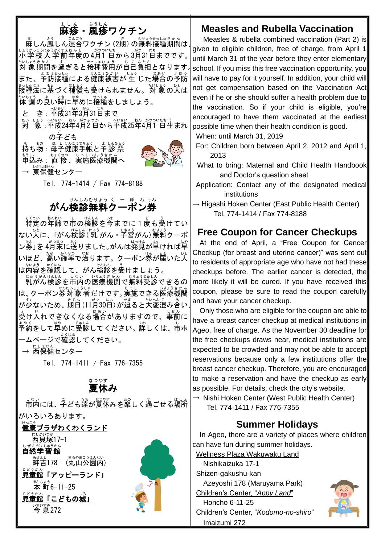# まし<sub>る。。。。</sub>。。<br>麻疹 - 風疹ワクチン

ましん嵐しん混合ワクチン (2期) の無料接種期間は√ 小学校 しょうがっこう 入学前 にゅうがくまえ 年度 ねんど の4月 がつ 1 日 ついたち から3月 がつ 31日 にち までです。 たいおうかん。するとおはない。<br>対 象期間を過ぎると接種費用が自己負担となります。 また、予防接種による健康被害が 生 じた場合の予防 ಕっしゅほう もく、ましょう まいしょう ひと、<br>接種法に基づく補償も受けられません。対 象の人は たいもう。<br>体 調の良い時に早めに接種をしましょう。

と き : 平成31年3月31日まで

たい しょう へいせい ねん がっぷっか 。 〜〜 \*い はん がっついたち う<br>対 象 : 平成24年4月2 日から平成25年4月1 日生まれ の子 こ ども

も ホ®:馬上サヘニラマ₺ォラ\_ょしムʊょラ もうしこ ちょくせつ じっしいりょうきかん<br>申込み:直 接 、実施医療機関へ → <sup>びじほけん</sup><br>→ 東保健センター



Tel. 774-1414 / Fax 774-8188

# がん検診無料クーポン券

ょくひゃねんいですよ。<br>特定の年齢で市の検診を今までに1度も受けてい ない人に、「がん施診(乳がん・子宮がん)無料クーポ ン券」を 4月末に送りました。がんは発見が早ければ早 いほど、高い確率で治ります。クーポン券が届いた人 、<sub>ないよう、かくにん</sub><br>は内容を確認して、がん検診を受けましょう。

<sub>にゅうがんけんし。」</sub><br>乳がん検診を市内の医療機関で無料受診できるの は、クーポン券対象者だけです。実施できる医療機関 が少ないため、 期日 (11月30日) が道ると大変混み含い (<sup>ε</sup> ぅ<br>受け入れできなくなる場合がありますので、事前に 、。<br>予約をして早めに受診してください。 詳しくは、 市ホ ームページで確認してください。

→ 远保健センター<br>→ 西保健センター

Tel. 774-1411 / Fax 776-7355

#### 夏休 なつやす み

しょ、<br>市内には、子ども達が夏休みを楽しく過ごせる場所

がいろいろあります。 。。。<br>**健康プラザわくわくランド** 西貝塚 にしかいづか 17-1 しぜんがくしゅうかん<br>**自然学習館** 。<sub>まるやまこうえんない</sub><br>畔吉178 (丸山公園内) 。。。。<br>児童館「アッピーランド」 まんちょう<br>本町6−11−25 。。。。<br>児童館「こどもの城」

いまいずみ<br>**今 泉 272** 



**Measles and Rubella Vaccination**

Measles & rubella combined vaccination (Part 2) is

until March 31 of the year before they enter elementary school. If you miss this free vaccination opportunity, you will have to pay for it yourself. In addition, your child will not get compensation based on the Vaccination Act even if he or she should suffer a health problem due to the vaccination. So if your child is eligible, you're encouraged to have them vaccinated at the earliest possible time when their health condition is good.

When: until March 31, 2019

- For: Children born between April 2, 2012 and April 1, 2013
- What to bring: Maternal and Child Health Handbook and Doctor's question sheet
- Application: Contact any of the designated medical institutions
- $\rightarrow$  Higashi Hoken Center (East Public Health Center) Tel. 774-1414 / Fax 774-8188

## **Free Coupon for Cancer Checkups**

 At the end of April, a "Free Coupon for Cancer Checkup (for breast and uterine cancer)" was sent out to residents of appropriate age who have not had these checkups before. The earlier cancer is detected, the more likely it will be cured. If you have received this coupon, please be sure to read the coupon carefully and have your cancer checkup.

Only those who are eligible for the coupon are able to have a breast cancer checkup at medical institutions in Ageo, free of charge. As the November 30 deadline for the free checkups draws near, medical institutions are expected to be crowded and may not be able to accept reservations because only a few institutions offer the breast cancer checkup. Therefore, you are encouraged to make a reservation and have the checkup as early as possible. For details, check the city's website.

 $\rightarrow$  Nishi Hoken Center (West Public Health Center) Tel. 774-1411 / Fax 776-7355

### **Summer Holidays**

In Ageo, there are a variety of places where children can have fun during summer holidays.

Wellness Plaza Wakuwaku Land Nishikaizuka 17-1 Shizen-gakushu-kan Azeyoshi 178 (Maruyama Park) Children's Center, "*Appy Land*" Honcho 6-11-25 Children's Center, "*Kodomo-no-shiro*"

Imaizumi 272